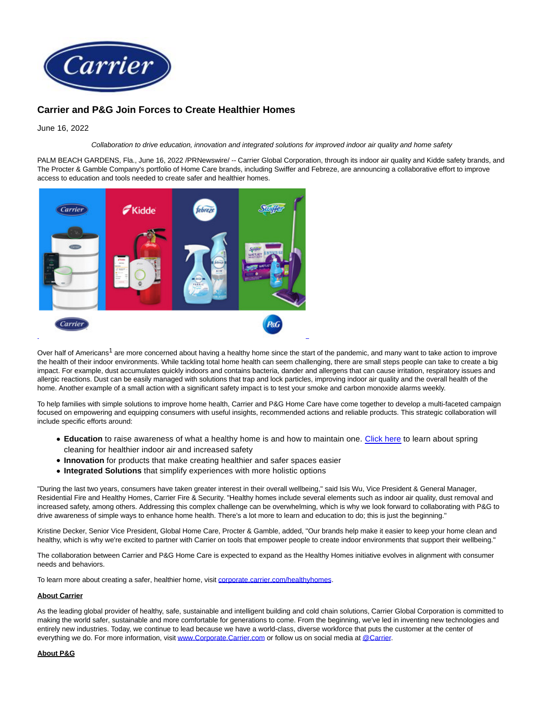

## **Carrier and P&G Join Forces to Create Healthier Homes**

June 16, 2022

Collaboration to drive education, innovation and integrated solutions for improved indoor air quality and home safety

PALM BEACH GARDENS, Fla., June 16, 2022 /PRNewswire/ -- Carrier Global Corporation, through its indoor air quality and Kidde safety brands, and The Procter & Gamble Company's portfolio of Home Care brands, including Swiffer and Febreze, are announcing a collaborative effort to improve access to education and tools needed to create safer and healthier homes.



Over half of Americans<sup>1</sup> are more concerned about having a healthy home since the start of the pandemic, and many want to take action to improve the health of their indoor environments. While tackling total home health can seem challenging, there are small steps people can take to create a big impact. For example, dust accumulates quickly indoors and contains bacteria, dander and allergens that can cause irritation, respiratory issues and allergic reactions. Dust can be easily managed with solutions that trap and lock particles, improving indoor air quality and the overall health of the home. Another example of a small action with a significant safety impact is to test your smoke and carbon monoxide alarms weekly.

To help families with simple solutions to improve home health, Carrier and P&G Home Care have come together to develop a multi-faceted campaign focused on empowering and equipping consumers with useful insights, recommended actions and reliable products. This strategic collaboration will include specific efforts around:

- **Education** to raise awareness of what a healthy home is and how to maintain one. [Click here](https://c212.net/c/link/?t=0&l=en&o=3568552-1&h=429295545&u=https%3A%2F%2Fimages.carriercms.com%2Fimage%2Fupload%2Fv1655233971%2Fcarrier-corp%2Fhealthy-homes-week%2FCorporate-5-ways-spring-healthier-home-0622.pdf&a=Click+here) to learn about spring cleaning for healthier indoor air and increased safety
- **Innovation** for products that make creating healthier and safer spaces easier
- **Integrated Solutions** that simplify experiences with more holistic options

"During the last two years, consumers have taken greater interest in their overall wellbeing," said Isis Wu, Vice President & General Manager, Residential Fire and Healthy Homes, Carrier Fire & Security. "Healthy homes include several elements such as indoor air quality, dust removal and increased safety, among others. Addressing this complex challenge can be overwhelming, which is why we look forward to collaborating with P&G to drive awareness of simple ways to enhance home health. There's a lot more to learn and education to do; this is just the beginning."

Kristine Decker, Senior Vice President, Global Home Care, Procter & Gamble, added, "Our brands help make it easier to keep your home clean and healthy, which is why we're excited to partner with Carrier on tools that empower people to create indoor environments that support their wellbeing."

The collaboration between Carrier and P&G Home Care is expected to expand as the Healthy Homes initiative evolves in alignment with consumer needs and behaviors.

To learn more about creating a safer, healthier home, visit [corporate.carrier.com/healthyhomes.](https://c212.net/c/link/?t=0&l=en&o=3568552-1&h=4232354285&u=https%3A%2F%2Fwww.corporate.carrier.com%2Fhealthyhomes&a=corporate.carrier.com%2Fhealthyhomes)

## **About Carrier**

As the leading global provider of healthy, safe, sustainable and intelligent building and cold chain solutions, Carrier Global Corporation is committed to making the world safer, sustainable and more comfortable for generations to come. From the beginning, we've led in inventing new technologies and entirely new industries. Today, we continue to lead because we have a world-class, diverse workforce that puts the customer at the center of everything we do. For more information, visi[t www.Corporate.Carrier.com o](https://c212.net/c/link/?t=0&l=en&o=3568552-1&h=3416260033&u=http%3A%2F%2Fwww.corporate.carrier.com%2F&a=www.Corporate.Carrier.com)r follow us on social media a[t @Carrier.](https://c212.net/c/link/?t=0&l=en&o=3568552-1&h=1073685358&u=http%3A%2F%2Fwww.twitter.com%2Fcarrier&a=%40Carrier)

## **About P&G**